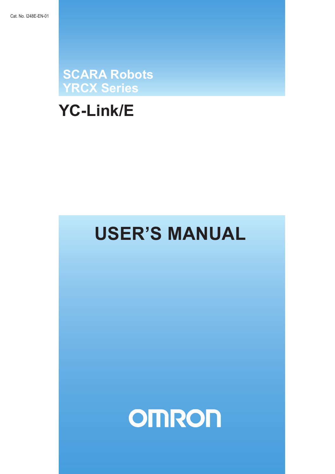**SCARA Robots<br>YRCX Series** 

# **YC-Link/E**

# **USER'S MANUAL**

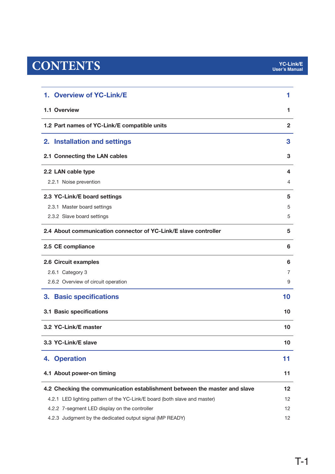# $CONTENTS$

| 1. Overview of YC-Link/E                                                  | 1  |
|---------------------------------------------------------------------------|----|
| 1.1 Overview                                                              | 1  |
| 1.2 Part names of YC-Link/E compatible units                              | 2  |
| <b>Installation and settings</b><br>2.                                    | 3  |
| 2.1 Connecting the LAN cables                                             | 3  |
| 2.2 LAN cable type                                                        | 4  |
| 2.2.1 Noise prevention                                                    | 4  |
| 2.3 YC-Link/E board settings                                              | 5  |
| 2.3.1 Master board settings                                               | 5  |
| 2.3.2 Slave board settings                                                | 5  |
| 2.4 About communication connector of YC-Link/E slave controller           | 5  |
| 2.5 CE compliance                                                         | 6  |
| 2.6 Circuit examples                                                      | 6  |
| 2.6.1 Category 3                                                          | 7  |
| 2.6.2 Overview of circuit operation                                       | 9  |
| <b>Basic specifications</b><br>3.                                         | 10 |
| 3.1 Basic specifications                                                  | 10 |
| 3.2 YC-Link/E master                                                      | 10 |
| 3.3 YC-Link/E slave                                                       | 10 |
| 4. Operation                                                              | 11 |
| 4.1 About power-on timing                                                 | 11 |
| 4.2 Checking the communication establishment between the master and slave | 12 |
| 4.2.1 LED lighting pattern of the YC-Link/E board (both slave and master) | 12 |
| 4.2.2 7-segment LED display on the controller                             | 12 |
| 4.2.3 Judgment by the dedicated output signal (MP READY)                  | 12 |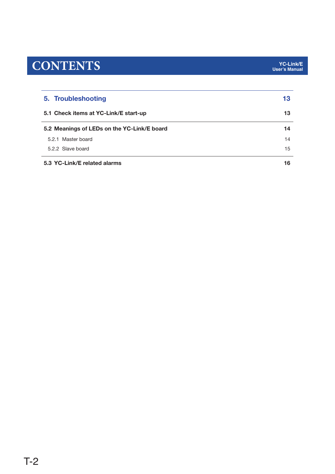# $CONTENTS$

| 5. Troubleshooting                          |    |  |  |
|---------------------------------------------|----|--|--|
| 5.1 Check items at YC-Link/E start-up       |    |  |  |
| 5.2 Meanings of LEDs on the YC-Link/E board | 14 |  |  |
| 5.2.1 Master board                          | 14 |  |  |
| 5.2.2 Slave board                           |    |  |  |
| 5.3 YC-Link/E related alarms                | 16 |  |  |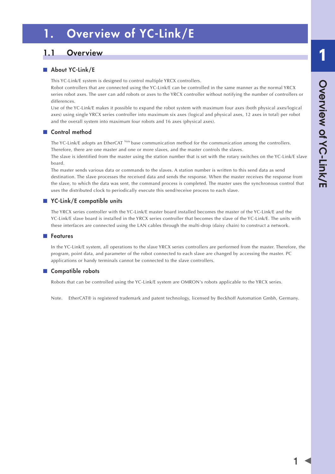# <span id="page-4-0"></span>1. Overview of YC-Link/E

## 1.1 Overview

### ■ About YC-Link/E

This YC-Link/E system is designed to control multiple YRCX controllers.

Robot controllers that are connected using the YC-Link/E can be controlled in the same manner as the normal YRCX series robot axes. The user can add robots or axes to the YRCX controller without notifying the number of controllers or differences.

Use of the YC-Link/E makes it possible to expand the robot system with maximum four axes (both physical axes/logical axes) using single YRCX series controller into maximum six axes (logical and physical axes, 12 axes in total) per robot and the overall system into maximum four robots and 16 axes (physical axes).

### ■ Control method

The YC-Link/E adopts an EtherCAT Note base communication method for the communication among the controllers. Therefore, there are one master and one or more slaves, and the master controls the slaves.

The slave is identified from the master using the station number that is set with the rotary switches on the YC-Link/E slave board.

The master sends various data or commands to the slaves. A station number is written to this send data as send destination. The slave processes the received data and sends the response. When the master receives the response from the slave, to which the data was sent, the command process is completed. The master uses the synchronous control that uses the distributed clock to periodically execute this send/receive process to each slave.

### ■ YC-Link/E compatible units

The YRCX series controller with the YC-Link/E master board installed becomes the master of the YC-Link/E and the YC-Link/E slave board is installed in the YRCX series controller that becomes the slave of the YC-Link/E. The units with these interfaces are connected using the LAN cables through the multi-drop (daisy chain) to construct a network.

### ■ Features

In the YC-Link/E system, all operations to the slave YRCX series controllers are performed from the master. Therefore, the program, point data, and parameter of the robot connected to each slave are changed by accessing the master. PC applications or handy terminals cannot be connected to the slave controllers.

### ■ Compatible robots

Robots that can be controlled using the YC-Link/E system are OMRON's robots applicable to the YRCX series.

Note. EtherCAT® is registered trademark and patent technology, licensed by Beckhoff Automation Gmbh, Germany.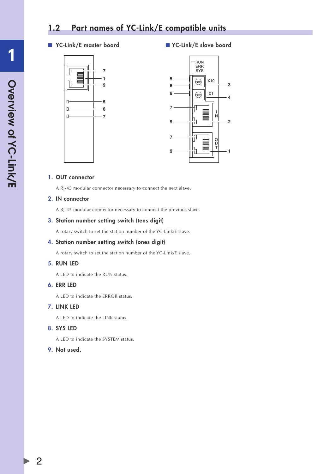## <span id="page-5-0"></span>1.2 Part names of YC-Link/E compatible units

### ■ YC-Link/E master board ■ YC-Link/E slave board





### 1. OUT connector

A RJ-45 modular connector necessary to connect the next slave.

### 2. IN connector

A RJ-45 modular connector necessary to connect the previous slave.

### 3. Station number setting switch (tens digit)

A rotary switch to set the station number of the YC-Link/E slave.

### 4. Station number setting switch (ones digit)

A rotary switch to set the station number of the YC-Link/E slave.

### 5. RUN LED

A LED to indicate the RUN status.

### 6. ERR LED

A LED to indicate the ERROR status.

### 7. LINK LED

A LED to indicate the LINK status.

### 8. SYS LED

A LED to indicate the SYSTEM status.

### 9. Not used.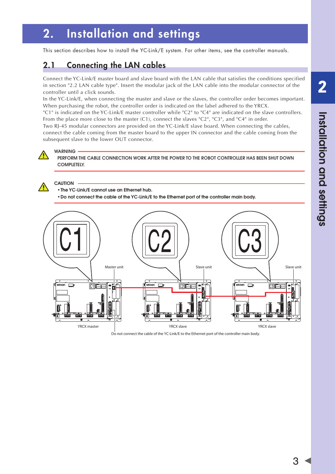# <span id="page-6-0"></span>2. Installation and settings

This section describes how to install the YC-Link/E system. For other items, see the controller manuals.

# 2.1 Connecting the LAN cables

Connect the YC-Link/E master board and slave board with the LAN cable that satisfies the conditions specified in section "2.2 LAN cable type". Insert the modular jack of the LAN cable into the modular connector of the controller until a click sounds.

In the YC-Link/E, when connecting the master and slave or the slaves, the controller order becomes important. When purchasing the robot, the controller order is indicated on the label adhered to the YRCX.

"C1" is indicated on the YC-Link/E master controller while "C2" to "C4" are indicated on the slave controllers. From the place more close to the master (C1), connect the slaves "C2", "C3", and "C4" in order.

Two RJ-45 modular connectors are provided on the YC-Link/E slave board. When connecting the cables, connect the cable coming from the master board to the upper IN connector and the cable coming from the subsequent slave to the lower OUT connector.



## WARNING

PERFORM THE CABLE CONNECTION WORK AFTER THE POWER TO THE ROBOT CONTROLLER HAS BEEN SHUT DOWN COMPLETELY.

### **CAUTION**

• the YC-Link/E cannot use an Ethernet hub.

• Do not connect the cable of the YC-Link/E to the Ethernet port of the controller main body.



Do not connect the cable of the YC-Link/E to the Ethernet port of the controller main body.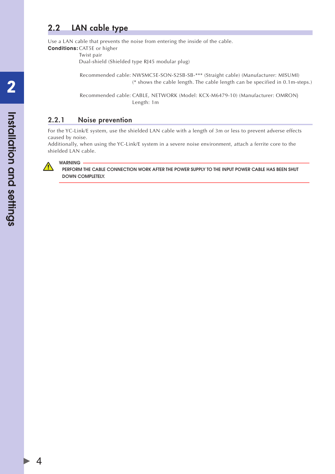## <span id="page-7-0"></span>2.2 LAN cable type

Use a LAN cable that prevents the noise from entering the inside of the cable.

**Conditions:** CAT5E or higher Twist pair

Dual-shield (Shielded type RJ45 modular plug)

Recommended cable: NWSMC5E-SON-S2SB-SB-\*\*\* (Straight cable) (Manufacturer: MISUMI) (\* shows the cable length. The cable length can be specified in 0.1m-steps.)

Recommended cable: CABLE, NETWORK (Model: KCX-M6479-10) (Manufacturer: OMRON) Length: 1m

### 2.2.1 Noise prevention

For the YC-Link/E system, use the shielded LAN cable with a length of 3m or less to prevent adverse effects caused by noise.

Additionally, when using the YC-Link/E system in a severe noise environment, attach a ferrite core to the shielded LAN cable.



4

PERfORm thE CAbLE CONNECtION WORk AftER thE POWER suPPLY tO thE INPut POWER CAbLE hAs bEEN shut DOWN COMPLETELY.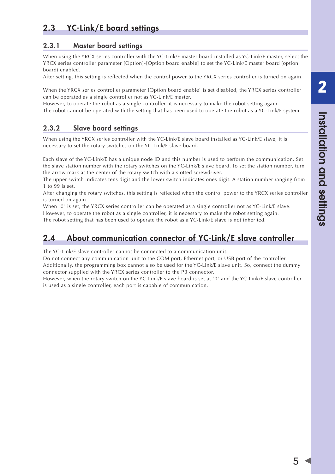2

# <span id="page-8-0"></span>2.3 YC-Link/E board settings

### 2.3.1 Master board settings

When using the YRCX series controller with the YC-Link/E master board installed as YC-Link/E master, select the YRCX series controller parameter [Option]-[Option board enable] to set the YC-Link/E master board (option board) enabled.

After setting, this setting is reflected when the control power to the YRCX series controller is turned on again.

When the YRCX series controller parameter [Option board enable] is set disabled, the YRCX series controller can be operated as a single controller not as YC-Link/E master.

However, to operate the robot as a single controller, it is necessary to make the robot setting again. The robot cannot be operated with the setting that has been used to operate the robot as a YC-Link/E system.

### 2.3.2 Slave board settings

When using the YRCX series controller with the YC-Link/E slave board installed as YC-Link/E slave, it is necessary to set the rotary switches on the YC-Link/E slave board.

Each slave of the YC-Link/E has a unique node ID and this number is used to perform the communication. Set the slave station number with the rotary switches on the YC-Link/E slave board. To set the station number, turn the arrow mark at the center of the rotary switch with a slotted screwdriver.

The upper switch indicates tens digit and the lower switch indicates ones digit. A station number ranging from 1 to 99 is set.

After changing the rotary switches, this setting is reflected when the control power to the YRCX series controller is turned on again.

When "0" is set, the YRCX series controller can be operated as a single controller not as YC-Link/E slave.

However, to operate the robot as a single controller, it is necessary to make the robot setting again. The robot setting that has been used to operate the robot as a YC-Link/E slave is not inherited.

# 2.4 About communication connector of YC-Link/E slave controller

The YC-Link/E slave controller cannot be connected to a communication unit.

Do not connect any communication unit to the COM port, Ethernet port, or USB port of the controller. Additionally, the programming box cannot also be used for the YC-Link/E slave unit. So, connect the dummy connector supplied with the YRCX series controller to the PB connector.

However, when the rotary switch on the YC-Link/E slave board is set at "0" and the YC-Link/E slave controller is used as a single controller, each port is capable of communication.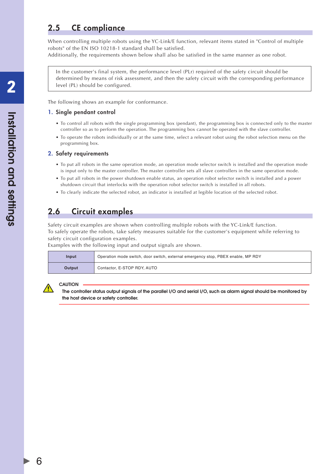## <span id="page-9-0"></span>2.5 CE compliance

When controlling multiple robots using the YC-Link/E function, relevant items stated in "Control of multiple robots" of the EN ISO 10218-1 standard shall be satisfied.

Additionally, the requirements shown below shall also be satisfied in the same manner as one robot.

In the customer's final system, the performance level (PLr) required of the safety circuit should be determined by means of risk assessment, and then the safety circuit with the corresponding performance level (PL) should be configured.

The following shows an example for conformance.

### 1. Single pendant control

- To control all robots with the single programming box (pendant), the programming box is connected only to the master controller so as to perform the operation. The programming box cannot be operated with the slave controller.
- To operate the robots individually or at the same time, select a relevant robot using the robot selection menu on the programming box.

### 2. Safety requirements

- To put all robots in the same operation mode, an operation mode selector switch is installed and the operation mode is input only to the master controller. The master controller sets all slave controllers in the same operation mode.
- To put all robots in the power shutdown enable status, an operation robot selector switch is installed and a power shutdown circuit that interlocks with the operation robot selector switch is installed in all robots.
- To clearly indicate the selected robot, an indicator is installed at legible location of the selected robot.

## 2.6 Circuit examples

Safety circuit examples are shown when controlling multiple robots with the YC-Link/E function. To safely operate the robots, take safety measures suitable for the customer's equipment while referring to safety circuit configuration examples.

Examples with the following input and output signals are shown.

| Input  | Operation mode switch, door switch, external emergency stop, PBEX enable, MP RDY |
|--------|----------------------------------------------------------------------------------|
| Output | Contactor, E-STOP RDY, AUTO                                                      |

#### **CAUTION**

the controller status output signals of the parallel I/O and serial I/O, such as alarm signal should be monitored by the host device or safety controller.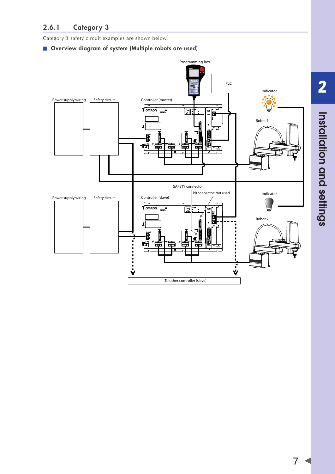<span id="page-10-0"></span>Category 3 safety circuit examples are shown below.

### ■ Overview diagram of system (Multiple robots are used)

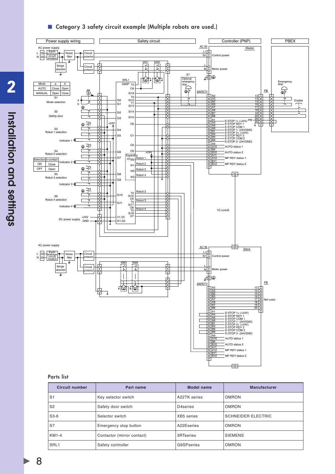### ■ Category 3 safety circuit example (Multiple robots are used.)



#### Parts list

| <b>Circuit number</b> | Part name                  | Model name        | <b>Manufacturer</b>       |
|-----------------------|----------------------------|-------------------|---------------------------|
| S <sub>1</sub>        | Key selector switch        | A22TK series      | <b>OMRON</b>              |
| S <sub>2</sub>        | Safety door switch         | D4series          | <b>OMRON</b>              |
| $S3-6$                | Selector switch            | XB5 series        | <b>SCHNEIDER ELECTRIC</b> |
| S7                    | Emergency stop button      | A22Eseries        | <b>OMRON</b>              |
| KM1-4                 | Contactor (mirror contact) | 3RTseries         | <b>SIEMENS</b>            |
| SRL <sub>1</sub>      | Safety controller          | <b>G9SPseries</b> | <b>OMRON</b>              |

2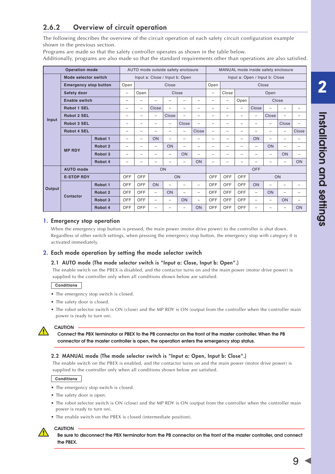### <span id="page-12-0"></span>2.6.2 Overview of circuit operation

The following describes the overview of the circuit operation of each safety circuit configuration example shown in the previous section.

Programs are made so that the safety controller operates as shown in the table below.

Additionally, programs are also made so that the standard requirements other than operations are also satisfied.

|                      | <b>Operation mode</b>        | AUTO mode outside safety enclosure |                          |                                                                  |                          | MANUAL mode inside safety enclosure |                          |                          |                                                                       |     |                          |                          |                          |                          |                          |
|----------------------|------------------------------|------------------------------------|--------------------------|------------------------------------------------------------------|--------------------------|-------------------------------------|--------------------------|--------------------------|-----------------------------------------------------------------------|-----|--------------------------|--------------------------|--------------------------|--------------------------|--------------------------|
| Mode selector switch |                              |                                    |                          | Input a: Close / Input b: Open<br>Input a: Open / Input b: Close |                          |                                     |                          |                          |                                                                       |     |                          |                          |                          |                          |                          |
|                      | <b>Emergency stop button</b> |                                    | Open                     | Close                                                            |                          |                                     |                          | Open                     | Close                                                                 |     |                          |                          |                          |                          |                          |
|                      | Safety door                  |                                    | $\overline{\phantom{0}}$ | Open<br>Close                                                    |                          |                                     | $\overline{\phantom{0}}$ | Close                    | Open                                                                  |     |                          |                          |                          |                          |                          |
|                      | <b>Enable switch</b>         |                                    | -                        | -                                                                | ÷                        | -                                   | -                        |                          | Close<br>Open<br>$\overline{\phantom{0}}$<br>$\overline{\phantom{0}}$ |     |                          |                          |                          |                          |                          |
|                      | <b>Robot 1 SEL</b>           |                                    | $\overline{\phantom{0}}$ | $\overline{\phantom{0}}$                                         | Close                    | -                                   | -                        | $\qquad \qquad$          | -                                                                     | -   | $\overline{\phantom{0}}$ | Close                    | $\overline{\phantom{0}}$ | $\overline{\phantom{0}}$ | -                        |
|                      | <b>Robot 2 SEL</b>           |                                    | $\overline{\phantom{0}}$ | $\overline{\phantom{0}}$                                         | $\qquad \qquad -$        | Close                               | $\overline{\phantom{0}}$ |                          | $\overline{\phantom{0}}$                                              | -   | $\overline{\phantom{0}}$ | $\overline{\phantom{0}}$ | Close                    | -                        | -                        |
| Input                | <b>Robot 3 SEL</b>           |                                    | $\overline{\phantom{0}}$ | $\overline{\phantom{0}}$                                         | $\overline{\phantom{0}}$ | -                                   | Close                    | $\overline{\phantom{0}}$ | $\overline{\phantom{0}}$                                              | -   | $\overline{\phantom{0}}$ |                          | $\overline{\phantom{0}}$ | Close                    | -                        |
|                      | <b>Robot 4 SEL</b>           |                                    | $\overline{\phantom{0}}$ | $\overline{\phantom{0}}$                                         | -                        | -                                   | $\overline{\phantom{0}}$ | Close                    | $\overline{\phantom{0}}$                                              | -   | $\qquad \qquad$          | $\overline{\phantom{0}}$ |                          | -                        | Close                    |
|                      |                              | Robot <sub>1</sub>                 | $\overline{\phantom{0}}$ | $\overline{\phantom{0}}$                                         | ON                       | $\overline{\phantom{0}}$            | $\overline{\phantom{0}}$ |                          | $\overline{\phantom{0}}$                                              | -   | $\overline{\phantom{0}}$ | ON                       | $\overline{\phantom{0}}$ | $\overline{\phantom{0}}$ | -                        |
|                      | <b>MP RDY</b>                | Robot 2                            | $\overline{\phantom{0}}$ | $\overline{\phantom{0}}$                                         | $\overline{\phantom{0}}$ | ON                                  | -                        | $\qquad \qquad$          | $\qquad \qquad$                                                       | -   | $\qquad \qquad$          | $\overline{\phantom{0}}$ | ON                       | -                        | -                        |
|                      |                              | Robot <sub>3</sub>                 | $\qquad \qquad$          | $\overline{\phantom{0}}$                                         | $\overline{\phantom{0}}$ | -                                   | ON                       | $\qquad \qquad$          | $\qquad \qquad -$                                                     | -   | $\qquad \qquad$          | $\overline{\phantom{0}}$ | $\overline{\phantom{0}}$ | ON                       | $\overline{\phantom{0}}$ |
|                      |                              | Robot 4                            | -                        | -                                                                | -                        | -                                   | $\qquad \qquad$          | ON                       | $\overline{\phantom{0}}$                                              | $=$ | $\qquad \qquad$          | -                        | -                        | -                        | ON                       |
|                      | <b>AUTO</b> mode             |                                    | ON                       |                                                                  |                          |                                     |                          | <b>OFF</b>               |                                                                       |     |                          |                          |                          |                          |                          |
|                      | <b>E-STOP RDY</b>            |                                    | OFF                      | <b>OFF</b>                                                       |                          |                                     | ON                       |                          | OFF                                                                   | OFF | OFF                      | ON                       |                          |                          |                          |
|                      |                              | Robot <sub>1</sub>                 | OFF                      | OFF                                                              | ON                       | $\overline{\phantom{0}}$            | -                        | $\overline{\phantom{0}}$ | <b>OFF</b>                                                            | OFF | OFF                      | ON                       | $\overline{\phantom{0}}$ | -                        | -                        |
| Output               | Contactor                    | Robot 2                            | OFF                      | OFF                                                              | $\overline{\phantom{0}}$ | ON                                  | -                        | $\overline{\phantom{0}}$ | OFF                                                                   | OFF | OFF                      | $\overline{\phantom{0}}$ | ON                       | $\overline{\phantom{0}}$ | -                        |
|                      |                              | Robot <sub>3</sub>                 | <b>OFF</b>               | OFF                                                              | $\overline{\phantom{0}}$ | $\overline{\phantom{0}}$            | ON                       | $\overline{\phantom{0}}$ | OFF                                                                   | OFF | OFF                      | $\overline{\phantom{0}}$ | $\overline{\phantom{0}}$ | ON                       | $\overline{\phantom{0}}$ |
|                      |                              | Robot 4                            | <b>OFF</b>               | <b>OFF</b>                                                       | $\overline{\phantom{0}}$ | -                                   | -                        | ON                       | OFF                                                                   | OFF | OFF                      |                          | $\overline{\phantom{0}}$ | -                        | ON                       |

### 1. Emergency stop operation

When the emergency stop button is pressed, the main power (motor drive power) to the controller is shut down. Regardless of other switch settings, when pressing the emergency stop button, the emergency stop with category 0 is activated immediately.

### 2. Each mode operation by setting the mode selector switch

### 2.1 AUTO mode (The mode selector switch is "Input a: Close, Input b: Open".)

The enable switch on the PBEX is disabled, and the contactor turns on and the main power (motor drive power) is supplied to the controller only when all conditions shown below are satisfied.

### **Conditions**

- The emergency stop switch is closed.
- The safety door is closed.
- The robot selector switch is ON (close) and the MP RDY is ON (output from the controller when the controller main power is ready to turn on).



## **CAUTION**

Connect the PbX terminator or PbEX to the Pb connector on the front of the master controller. When the Pb connector of the master controller is open, the operation enters the emergency stop status.

### 2.2 MANUAL mode (The mode selector switch is "Input a: Open, Input b: Close".)

The enable switch on the PBEX is enabled, and the contactor turns on and the main power (motor drive power) is supplied to the controller only when all conditions shown below are satisfied.

#### **Conditions**

**CAUTION** 

- The emergency stop switch is closed.
- The safety door is open.
- The robot selector switch is ON (close) and the MP RDY is ON (output from the controller when the controller main power is ready to turn on).
- The enable switch on the PBEX is closed (intermediate position).



be sure to disconnect the PbX terminator from the Pb connector on the front of the master controller, and connect the PBEX.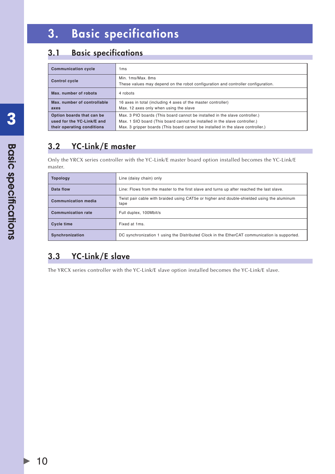# <span id="page-13-0"></span>3. Basic specifications

# 3.1 Basic specifications

| <b>Communication cycle</b>  | 1 <sub>ms</sub>                                                                                       |
|-----------------------------|-------------------------------------------------------------------------------------------------------|
| <b>Control cycle</b>        | Min. 1ms/Max. 8ms<br>These values may depend on the robot configuration and controller configuration. |
| Max. number of robots       | 4 robots                                                                                              |
| Max. number of controllable | 16 axes in total (including 4 axes of the master controller)                                          |
| axes                        | Max. 12 axes only when using the slave                                                                |
| Option boards that can be   | Max. 3 PIO boards (This board cannot be installed in the slave controller.)                           |
| used for the YC-Link/E and  | Max. 1 SIO board (This board cannot be installed in the slave controller.)                            |
| their operating conditions  | Max. 3 gripper boards (This board cannot be installed in the slave controller.)                       |

# 3.2 YC-Link/E master

Only the YRCX series controller with the YC-Link/E master board option installed becomes the YC-Link/E master.

| <b>Topology</b>            | Line (daisy chain) only                                                                            |
|----------------------------|----------------------------------------------------------------------------------------------------|
| Data flow                  | Line: Flows from the master to the first slave and turns up after reached the last slave.          |
| <b>Communication media</b> | Twist pair cable with braided using CAT5e or higher and double-shielded using the aluminum<br>tape |
| <b>Communication rate</b>  | Full duplex, 100Mbit/s                                                                             |
| <b>Cycle time</b>          | Fixed at 1ms.                                                                                      |
| Synchronization            | DC synchronization 1 using the Distributed Clock in the EtherCAT communication is supported.       |

# 3.3 YC-Link/E slave

The YRCX series controller with the YC-Link/E slave option installed becomes the YC-Link/E slave.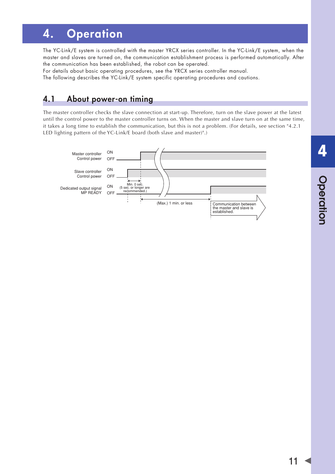# <span id="page-14-0"></span>4. Operation

The YC-Link/E system is controlled with the master YRCX series controller. In the YC-Link/E system, when the master and slaves are turned on, the communication establishment process is performed automatically. After the communication has been established, the robot can be operated.

For details about basic operating procedures, see the YRCX series controller manual.

The following describes the YC-Link/E system specific operating procedures and cautions.

# 4.1 About power-on timing

The master controller checks the slave connection at start-up. Therefore, turn on the slave power at the latest until the control power to the master controller turns on. When the master and slave turn on at the same time, it takes a long time to establish the communication, but this is not a problem. (For details, see section "4.2.1 LED lighting pattern of the YC-Link/E board (both slave and master)".)

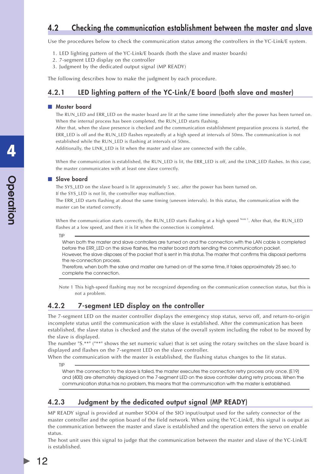## <span id="page-15-0"></span>4.2 Checking the communication establishment between the master and slave

Use the procedures below to check the communication status among the controllers in the YC-Link/E system.

- 1. LED lighting pattern of the YC-Link/E boards (both the slave and master boards)
- 2. 7-segment LED display on the controller
- 3. Judgment by the dedicated output signal (MP READY)

The following describes how to make the judgment by each procedure.

### 4.2.1 LED lighting pattern of the YC-Link/E board (both slave and master)

#### ■ Master board

The RUN\_LED and ERR\_LED on the master board are lit at the same time immediately after the power has been turned on. When the internal process has been completed, the RUN\_LED starts flashing.

After that, when the slave presence is checked and the communication establishment preparation process is started, the ERR\_LED is off and the RUN\_LED flashes repeatedly at a high speed at intervals of 50ms. The communication is not established while the RUN\_LED is flashing at intervals of 50ms.

Additionally, the LINK\_LED is lit when the master and slave are connected with the cable.

When the communication is established, the RUN\_LED is lit, the ERR\_LED is off, and the LINK\_LED flashes. In this case, the master communicates with at least one slave correctly.

### ■ Slave board

The SYS\_LED on the slave board is lit approximately 5 sec. after the power has been turned on. If the SYS\_LED is not lit, the controller may malfunction.

The ERR\_LED starts flashing at about the same timing (uneven intervals). In this status, the communication with the master can be started correctly.

When the communication starts correctly, the RUN\_LED starts flashing at a high speed Note<sup>1</sup>. After that, the RUN\_LED flashes at a low speed, and then it is lit when the connection is completed.

TIP

When both the master and slave controllers are turned on and the connection with the LAN cable is completed before the ERR\_LED on the slave flashes, the master board starts sending the communication packet. However, the slave disposes of the packet that is sent in this status. The master that confirms this disposal performs the re-connection process.

Therefore, when both the salve and master are turned on at the same time, it takes approximately 25 sec. to complete the connection.

Note 1 This high-speed flashing may not be recognized depending on the communication connection status, but this is not a problem.

### 4.2.2 7-segment LED display on the controller

The 7-segment LED on the master controller displays the emergency stop status, servo off, and return-to-origin incomplete status until the communication with the slave is established. After the communication has been established, the slave status is checked and the status of the overall system including the robot to be moved by the slave is displayed.

The number "S.\*\*" ("\*\*" shows the set numeric value) that is set using the rotary switches on the slave board is displayed and flashes on the 7-segment LED on the slave controller.

When the communication with the master is established, the flashing status changes to the lit status.

TIP

12

When the connection to the slave is failed, the master executes the connection retry process only once. [E19] and [400] are alternately displayed on the 7-segment LED on the slave controller during retry process. When the communication status has no problem, this means that the communication with the master is established.

### 4.2.3 Judgment by the dedicated output signal (MP READY)

MP READY signal is provided at number SO04 of the SIO input/output used for the safety connector of the master controller and the option board of the field network. When using the YC-Link/E, this signal is output as the communication between the master and slave is established and the operation enters the servo on enable status.

The host unit uses this signal to judge that the communication between the master and slave of the YC-Link/E is established.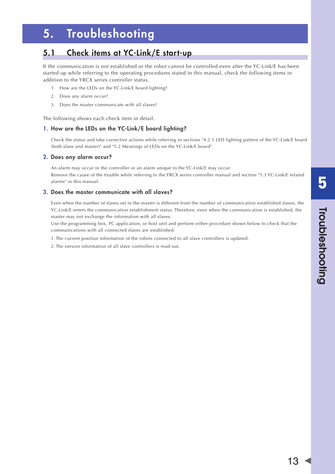# <span id="page-16-0"></span>5. Troubleshooting

## 5.1 Check items at YC-Link/E start-up

If the communication is not established or the robot cannot be controlled even after the YC-Link/E has been started up while referring to the operating procedures stated in this manual, check the following items in addition to the YRCX series controller status.

- 1. How are the LEDs on the YC-Link/E board lighting?
- 2. Does any alarm occur?
- 3. Does the master communicate with all slaves?

The following shows each check item in detail.

### 1. How are the LEDs on the YC-Link/E board lighting?

Check the status and take corrective actions while referring to sections "4.2.1 LED lighting pattern of the YC-Link/E board (both slave and master)" and "5.2 Meanings of LEDs on the YC-Link/E board".

### 2. Does any alarm occur?

An alarm may occur in the controller or an alarm unique to the YC-Link/E may occur. Remove the cause of the trouble while referring to the YRCX series controller manual and section "5.3 YC-Link/E related alarms" in this manual.

### 3. Does the master communicate with all slaves?

Even when the number of slaves set in the master is different from the number of communication established slaves, the YC-Link/E enters the communication establishment status. Therefore, even when the communication is established, the master may not exchange the information with all slaves.

Use the programming box, PC application, or host unit and perform either procedure shown below to check that the communications with all connected slaves are established.

1. The current position information of the robots connected to all slave controllers is updated.

2. The version information of all slave controllers is read-out.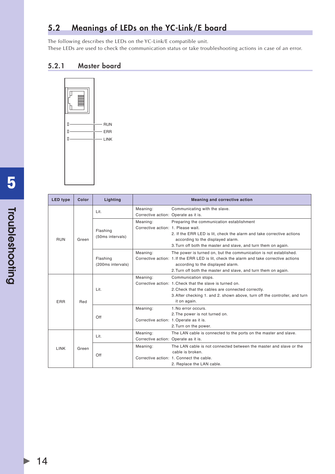# <span id="page-17-0"></span>5.2 Meanings of LEDs on the YC-Link/E board

The following describes the LEDs on the YC-Link/E compatible unit. These LEDs are used to check the communication status or take troubleshooting actions in case of an error.

### 5.2.1 Master board



| <b>LED type</b> | Color | Lighting          |                                      | Meaning and corrective action                                                            |
|-----------------|-------|-------------------|--------------------------------------|------------------------------------------------------------------------------------------|
|                 |       | Lit.              | Meaning:                             | Communicating with the slave.                                                            |
|                 |       |                   | Corrective action: Operate as it is. |                                                                                          |
|                 |       |                   | Meaning:                             | Preparing the communication establishment                                                |
|                 |       | Flashing          | Corrective action: 1. Please wait.   |                                                                                          |
|                 |       | (50ms intervals)  |                                      | 2. If the ERR LED is lit, check the alarm and take corrective actions                    |
| <b>RUN</b>      | Green |                   |                                      | according to the displayed alarm.                                                        |
|                 |       |                   |                                      | 3. Turn off both the master and slave, and turn them on again.                           |
|                 |       |                   | Meaning:                             | The power is turned on, but the communication is not established.                        |
|                 |       | Flashing          |                                      | Corrective action: 1. If the ERR LED is lit, check the alarm and take corrective actions |
|                 |       | (200ms intervals) |                                      | according to the displayed alarm.                                                        |
|                 |       |                   |                                      | 2. Turn off both the master and slave, and turn them on again.                           |
|                 |       | Lit.              | Meaning:                             | Communication stops.                                                                     |
|                 |       |                   |                                      | Corrective action: 1. Check that the slave is turned on.                                 |
|                 |       |                   |                                      | 2. Check that the cables are connected correctly.                                        |
|                 |       |                   |                                      | 3. After checking 1. and 2. shown above, turn off the controller, and turn               |
| ERR             | Red   |                   |                                      | it on again.                                                                             |
|                 |       | Off               | Meaning:                             | 1. No error occurs.                                                                      |
|                 |       |                   |                                      | 2. The power is not turned on.                                                           |
|                 |       |                   |                                      | Corrective action: 1. Operate as it is.                                                  |
|                 |       |                   |                                      | 2. Turn on the power.                                                                    |
|                 |       | Lit.              | Meaning:                             | The LAN cable is connected to the ports on the master and slave.                         |
|                 |       |                   | Corrective action: Operate as it is. |                                                                                          |
| LINK            | Green |                   | Meaning:                             | The LAN cable is not connected between the master and slave or the                       |
|                 |       | Off               |                                      | cable is broken.                                                                         |
|                 |       |                   |                                      | Corrective action: 1. Connect the cable.                                                 |
|                 |       |                   |                                      | 2. Replace the LAN cable.                                                                |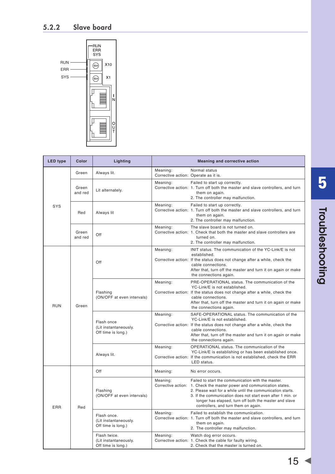<span id="page-18-0"></span>

| <b>LED type</b> | Color            | Lighting                                                    |                                                  | <b>Meaning and corrective action</b>                                                                                                                                                                                                                                                                                                     |
|-----------------|------------------|-------------------------------------------------------------|--------------------------------------------------|------------------------------------------------------------------------------------------------------------------------------------------------------------------------------------------------------------------------------------------------------------------------------------------------------------------------------------------|
|                 | Green            | Always lit.                                                 | Meaning:<br>Corrective action: Operate as it is. | Normal status                                                                                                                                                                                                                                                                                                                            |
|                 | Green<br>and red | Lit alternately.                                            | Meaning:                                         | Failed to start up correctly.<br>Corrective action: 1. Turn off both the master and slave controllers, and turn<br>them on again.<br>2. The controller may malfunction.                                                                                                                                                                  |
| SYS             | Red              | Always lit                                                  | Meaning:                                         | Failed to start up correctly.<br>Corrective action: 1. Turn off both the master and slave controllers, and turn<br>them on again.<br>2. The controller may malfunction.                                                                                                                                                                  |
|                 | Green<br>and red | Off                                                         | Meaning:                                         | The slave board is not turned on.<br>Corrective action: 1. Check that both the master and slave controllers are<br>turned on.<br>2. The controller may malfunction.                                                                                                                                                                      |
|                 |                  | Off                                                         | Meaning:                                         | INIT status. The communication of the YC-Link/E is not<br>established.<br>Corrective action: If the status does not change after a while, check the<br>cable connections.<br>After that, turn off the master and turn it on again or make<br>the connections again.                                                                      |
| <b>RUN</b>      | Green            | Flashing<br>(ON/OFF at even intervals)                      | Meaning:                                         | PRE-OPERATIONAL status. The communication of the<br>YC-Link/E is not established.<br>Corrective action: If the status does not change after a while, check the<br>cable connections.<br>After that, turn off the master and turn it on again or make<br>the connections again.                                                           |
|                 |                  | Flash once<br>(Lit instantaneously.<br>Off time is long.)   | Meaning:                                         | SAFE-OPERATIONAL status. The communication of the<br>YC-Link/E is not established.<br>Corrective action: If the status does not change after a while, check the<br>cable connections.<br>After that, turn off the master and turn it on again or make<br>the connections again.                                                          |
|                 |                  | Always lit.                                                 | Meaning:                                         | OPERATIONAL status. The communication of the<br>YC-Link/E is establishing or has been established once.<br>Corrective action: If the communication is not established, check the ERR<br>LED status.                                                                                                                                      |
|                 |                  | Off                                                         | Meaning:                                         | No error occurs.                                                                                                                                                                                                                                                                                                                         |
| ERR             | Red              | Flashing<br>(ON/OFF at even intervals)                      | Meaning:<br>Corrective action:                   | Failed to start the communication with the master.<br>1. Check the master power and communication states.<br>2. Please wait for a while until the communication starts.<br>3. If the communication does not start even after 1 min. or<br>longer has elapsed, turn off both the master and slave<br>controllers, and turn them on again. |
|                 |                  | Flash once.<br>(Lit instantaneously.<br>Off time is long.)  | Meaning:                                         | Failed to establish the communication.<br>Corrective action: 1. Turn off both the master and slave controllers, and turn<br>them on again.<br>2. The controller may malfunction.                                                                                                                                                         |
|                 |                  | Flash twice.<br>(Lit instantaneously.<br>Off time is long.) | Meaning:                                         | Watch dog error occurs.<br>Corrective action: 1. Check the cable for faulty wiring.<br>2. Check that the master is turned on.                                                                                                                                                                                                            |

 $15<sub>1</sub>$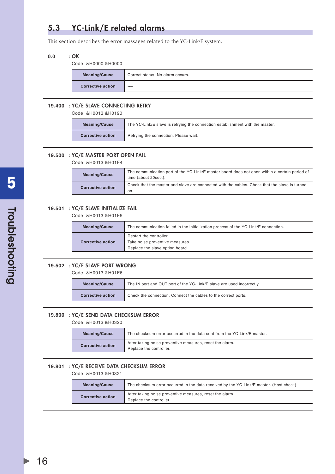# <span id="page-19-0"></span>5.3 YC-Link/E related alarms

This section describes the error massages related to the YC-Link/E system.

### 0.0 : OK

Code: &H0000 &H0000

| <b>Meaning/Cause</b>     | Correct status. No alarm occurs. |
|--------------------------|----------------------------------|
| <b>Corrective action</b> | __                               |

#### 19.400 : YC/E SLAVE CONNECTING RETRY

Code: &H0013 &H0190

| <b>Meaning/Cause</b>     | The YC-Link/E slave is retrying the connection establishment with the master. |
|--------------------------|-------------------------------------------------------------------------------|
| <b>Corrective action</b> | Retrying the connection. Please wait.                                         |

#### **19.500** : YC/E MASTER PORT OPEN FAIL

Code: &H0013 &H01F4

| <b>Meaning/Cause</b>     | The communication port of the YC-Link/E master board does not open within a certain period of<br>time (about 20sec.). |
|--------------------------|-----------------------------------------------------------------------------------------------------------------------|
| <b>Corrective action</b> | Check that the master and slave are connected with the cables. Check that the slave is turned<br>on.                  |

### **19.501** : YC/E SLAVE INITIALIZE FAIL

Code: &H0013 &H01F5

| <b>Meaning/Cause</b>     | The communication failed in the initialization process of the YC-Link/E connection.           |
|--------------------------|-----------------------------------------------------------------------------------------------|
| <b>Corrective action</b> | Restart the controller.<br>Take noise preventive measures.<br>Replace the slave option board. |

#### **19.502** : YC/E SLAVE PORT WRONG

Code: &H0013 &H01F6

| <b>Meaning/Cause</b>     | The IN port and OUT port of the YC-Link/E slave are used incorrectly. |
|--------------------------|-----------------------------------------------------------------------|
| <b>Corrective action</b> | Check the connection. Connect the cables to the correct ports.        |

### **19.800** : YC/E SEND DATA CHECKSUM ERROR

Code: &H0013 &H0320

| <b>Meaning/Cause</b>     | The checksum error occurred in the data sent from the YC-Link/E master.             |
|--------------------------|-------------------------------------------------------------------------------------|
| <b>Corrective action</b> | After taking noise preventive measures, reset the alarm.<br>Replace the controller. |

### 19.801 : YC/E RECEIVE DATA CHECKSUM ERROR

Code: &H0013 &H0321

| <b>Meaning/Cause</b>     | The checksum error occurred in the data received by the YC-Link/E master. (Host check) |
|--------------------------|----------------------------------------------------------------------------------------|
| <b>Corrective action</b> | After taking noise preventive measures, reset the alarm.<br>Replace the controller.    |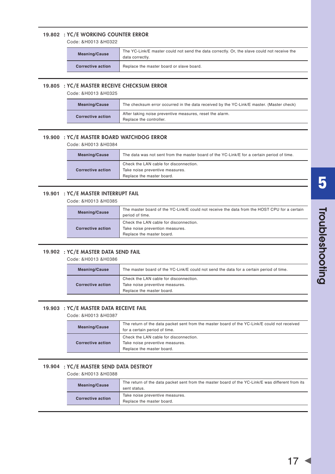### **19.802** : YC/E WORKING COUNTER ERROR

Code: &H0013 &H0322

| <b>Meaning/Cause</b>     | The YC-Link/E master could not send the data correctly. Or, the slave could not receive the<br>data correctly. |
|--------------------------|----------------------------------------------------------------------------------------------------------------|
| <b>Corrective action</b> | Replace the master board or slave board.                                                                       |

#### **19.805** : YC/E MASTER RECEIVE CHECKSUM ERROR

Code: &H0013 &H0325

|                                                     | <b>Meaning/Cause</b> | The checksum error occurred in the data received by the YC-Link/E master. (Master check) |
|-----------------------------------------------------|----------------------|------------------------------------------------------------------------------------------|
| <b>Corrective action</b><br>Replace the controller. |                      | After taking noise preventive measures, reset the alarm.                                 |

### **19.900** : YC/E MASTER BOARD WATCHDOG ERROR

Code: &H0013 &H0384

| <b>Meaning/Cause</b>     | The data was not sent from the master board of the YC-Link/E for a certain period of time.             |
|--------------------------|--------------------------------------------------------------------------------------------------------|
| <b>Corrective action</b> | Check the LAN cable for disconnection.<br>Take noise preventive measures.<br>Replace the master board. |
|                          |                                                                                                        |

### **19.901** : YC/E MASTER INTERRUPT FAIL

Code: &H0013 &H0385

| <b>Meaning/Cause</b>     | The master board of the YC-Link/E could not receive the data from the HOST CPU for a certain<br>period of time. |
|--------------------------|-----------------------------------------------------------------------------------------------------------------|
| <b>Corrective action</b> | Check the LAN cable for disconnection.<br>Take noise prevention measures.<br>Replace the master board.          |

### **19.902** : YC/E MASTER DATA SEND FAIL

Code: &H0013 &H0386

| <b>Meaning/Cause</b>     | The master board of the YC-Link/E could not send the data for a certain period of time.                |
|--------------------------|--------------------------------------------------------------------------------------------------------|
| <b>Corrective action</b> | Check the LAN cable for disconnection.<br>Take noise preventive measures.<br>Replace the master board. |

### **19.903** : YC/E MASTER DATA RECEIVE FAIL

Code: &H0013 &H0387

| <b>Meaning/Cause</b> | The return of the data packet sent from the master board of the YC-Link/E could not received<br>for a certain period of time. |
|----------------------|-------------------------------------------------------------------------------------------------------------------------------|
| Corrective action    | Check the LAN cable for disconnection.<br>Take noise preventive measures.<br>Replace the master board.                        |

### **19.904** : YC/E MASTER SEND DATA DESTROY

Code: &H0013 &H0388

| <b>Meaning/Cause</b>     | The return of the data packet sent from the master board of the YC-Link/E was different from its |
|--------------------------|--------------------------------------------------------------------------------------------------|
|                          | sent status.                                                                                     |
| <b>Corrective action</b> | Take noise preventive measures.                                                                  |
|                          | Replace the master board.                                                                        |
|                          |                                                                                                  |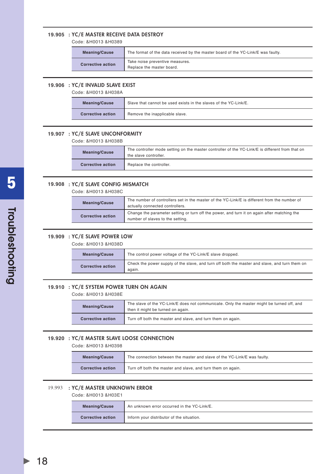### **19.905** : YC/E MASTER RECEIVE DATA DESTROY

Code: &H0013 &H0389

| <b>Meaning/Cause</b> | The format of the data received by the master board of the YC-Link/E was faulty. |
|----------------------|----------------------------------------------------------------------------------|
| Corrective action    | Take noise preventive measures.<br>Replace the master board.                     |
|                      |                                                                                  |

### **19.906** : YC/E INVALID SLAVE EXIST

Code: &H0013 &H038A

| <b>Meaning/Cause</b>     | Slave that cannot be used exists in the slaves of the YC-Link/E. |  |
|--------------------------|------------------------------------------------------------------|--|
| <b>Corrective action</b> | Remove the inapplicable slave.                                   |  |

#### **19.907 : YC/E SLAVE UNCONFORMITY**

Code: &H0013 &H038B

| <b>Meaning/Cause</b>     | The controller mode setting on the master controller of the YC-Link/E is different from that on<br>the slave controller. |  |
|--------------------------|--------------------------------------------------------------------------------------------------------------------------|--|
| <b>Corrective action</b> | Replace the controller.                                                                                                  |  |

### **19.908** : YC/E SLAVE CONFIG MISMATCH

Code: &H0013 &H038C

| <b>Meaning/Cause</b>                                                                                                                                        | The number of controllers set in the master of the YC-Link/E is different from the number of<br>actually connected controllers. |  |
|-------------------------------------------------------------------------------------------------------------------------------------------------------------|---------------------------------------------------------------------------------------------------------------------------------|--|
| Change the parameter setting or turn off the power, and turn it on again after matching the<br><b>Corrective action</b><br>number of slaves to the setting. |                                                                                                                                 |  |

#### **19.909** : YC/E SLAVE POWER LOW

Code: &H0013 &H038D

| <b>Meaning/Cause</b>     | The control power voltage of the YC-Link/E slave dropped.                                               |  |
|--------------------------|---------------------------------------------------------------------------------------------------------|--|
| <b>Corrective action</b> | Check the power supply of the slave, and turn off both the master and slave, and turn them on<br>aqain. |  |

#### 19.910 : YC/E SYSTEM POWER TURN ON AGAIN

Code: &H0013 &H038E

| <b>Meaning/Cause</b>     | The slave of the YC-Link/E does not communicate. Only the master might be turned off, and<br>then it might be turned on again. |  |
|--------------------------|--------------------------------------------------------------------------------------------------------------------------------|--|
| <b>Corrective action</b> | Turn off both the master and slave, and turn them on again.                                                                    |  |

#### **19.920** : YC/E MASTER SLAVE LOOSE CONNECTION

Code: &H0013 &H0398

| <b>Meaning/Cause</b> | The connection between the master and slave of the YC-Link/E was faulty. |  |
|----------------------|--------------------------------------------------------------------------|--|
| Corrective action    | Turn off both the master and slave, and turn them on again.              |  |

#### 19.993 : YC/E MASTER UNKNOWN ERROR

Code: &H0013 &H03E1

| <b>Meaning/Cause</b>     | An unknown error occurred in the YC-Link/E. |  |
|--------------------------|---------------------------------------------|--|
| <b>Corrective action</b> | Inform your distributor of the situation.   |  |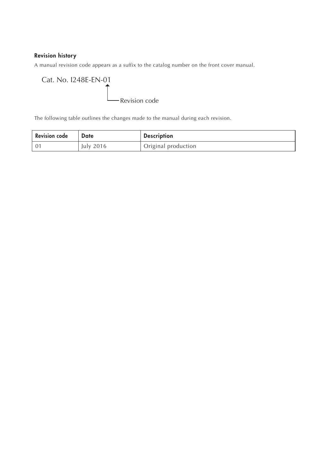### Revision history

A manual revision code appears as a suffix to the catalog number on the front cover manual.

Cat. No. I248E-EN-01 Revision code

The following table outlines the changes made to the manual during each revision.

| <b>Revision code</b> | Date      | <b>Description</b>  |
|----------------------|-----------|---------------------|
|                      | July 2016 | Original production |